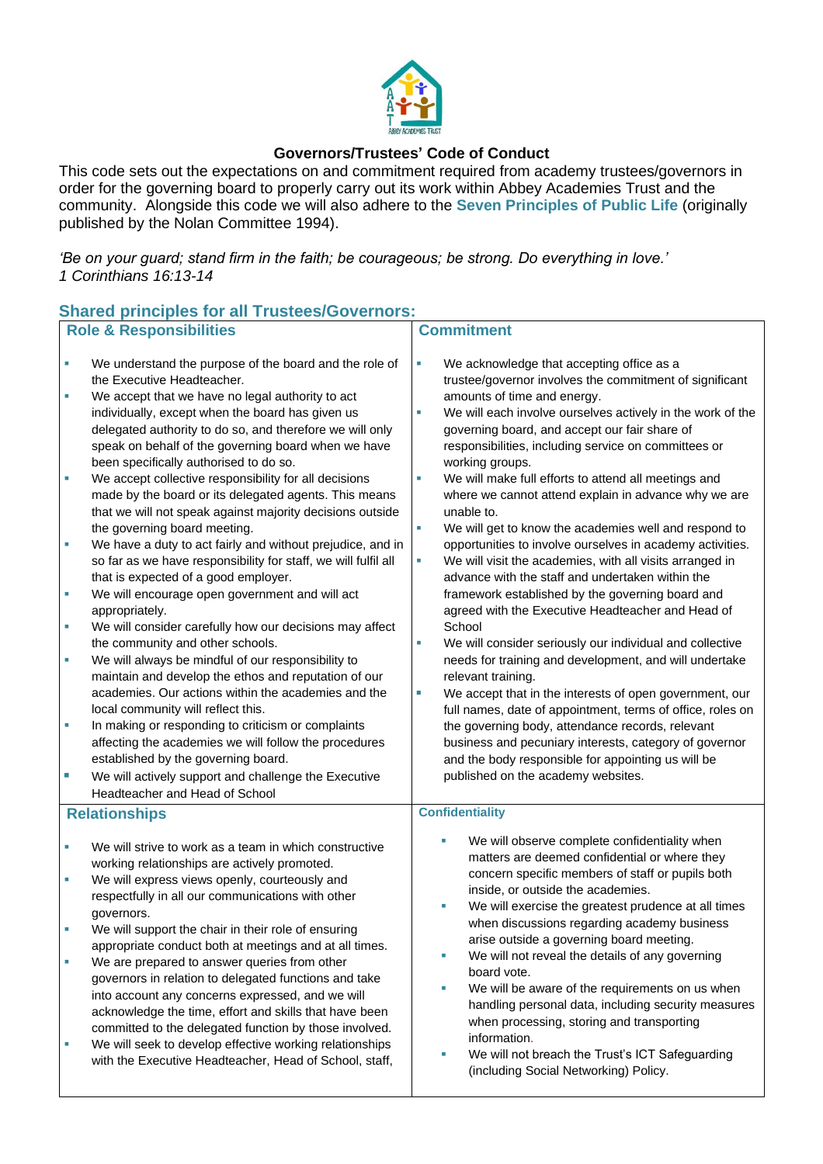

# **Governors/Trustees' Code of Conduct**

This code sets out the expectations on and commitment required from academy trustees/governors in order for the governing board to properly carry out its work within Abbey Academies Trust and the community. Alongside this code we will also adhere to the **Seven Principles of Public Life** (originally published by the Nolan Committee 1994).

*'Be on your guard; stand firm in the faith; be courageous; be strong. Do everything in love.' 1 Corinthians 16:13-14*

| <b>Shared principles for all Trustees/Governors:</b> |                                                                                                                                                                                                                                                                                                                                                                                                    |                                                                                                                                                                                                                                                                                                                      |  |  |  |
|------------------------------------------------------|----------------------------------------------------------------------------------------------------------------------------------------------------------------------------------------------------------------------------------------------------------------------------------------------------------------------------------------------------------------------------------------------------|----------------------------------------------------------------------------------------------------------------------------------------------------------------------------------------------------------------------------------------------------------------------------------------------------------------------|--|--|--|
| <b>Role &amp; Responsibilities</b>                   |                                                                                                                                                                                                                                                                                                                                                                                                    | <b>Commitment</b>                                                                                                                                                                                                                                                                                                    |  |  |  |
| ×<br>×                                               | We understand the purpose of the board and the role of<br>the Executive Headteacher.<br>We accept that we have no legal authority to act<br>individually, except when the board has given us<br>delegated authority to do so, and therefore we will only<br>speak on behalf of the governing board when we have                                                                                    | ×<br>We acknowledge that accepting office as a<br>trustee/governor involves the commitment of significant<br>amounts of time and energy.<br>We will each involve ourselves actively in the work of the<br>×<br>governing board, and accept our fair share of<br>responsibilities, including service on committees or |  |  |  |
| F.                                                   | been specifically authorised to do so.<br>We accept collective responsibility for all decisions<br>made by the board or its delegated agents. This means<br>that we will not speak against majority decisions outside                                                                                                                                                                              | working groups.<br>We will make full efforts to attend all meetings and<br>×<br>where we cannot attend explain in advance why we are<br>unable to.                                                                                                                                                                   |  |  |  |
| a,                                                   | the governing board meeting.<br>We have a duty to act fairly and without prejudice, and in<br>so far as we have responsibility for staff, we will fulfil all<br>that is expected of a good employer.                                                                                                                                                                                               | à,<br>We will get to know the academies well and respond to<br>opportunities to involve ourselves in academy activities.<br>We will visit the academies, with all visits arranged in<br>×,<br>advance with the staff and undertaken within the                                                                       |  |  |  |
| ш                                                    | We will encourage open government and will act<br>appropriately.                                                                                                                                                                                                                                                                                                                                   | framework established by the governing board and<br>agreed with the Executive Headteacher and Head of                                                                                                                                                                                                                |  |  |  |
| ш                                                    | We will consider carefully how our decisions may affect<br>the community and other schools.                                                                                                                                                                                                                                                                                                        | School<br>We will consider seriously our individual and collective<br>×                                                                                                                                                                                                                                              |  |  |  |
| п                                                    | We will always be mindful of our responsibility to<br>maintain and develop the ethos and reputation of our<br>academies. Our actions within the academies and the<br>local community will reflect this.                                                                                                                                                                                            | needs for training and development, and will undertake<br>relevant training.<br>We accept that in the interests of open government, our<br>ш<br>full names, date of appointment, terms of office, roles on                                                                                                           |  |  |  |
| T.                                                   | In making or responding to criticism or complaints<br>affecting the academies we will follow the procedures<br>established by the governing board.                                                                                                                                                                                                                                                 | the governing body, attendance records, relevant<br>business and pecuniary interests, category of governor<br>and the body responsible for appointing us will be                                                                                                                                                     |  |  |  |
| ш                                                    | We will actively support and challenge the Executive<br>Headteacher and Head of School                                                                                                                                                                                                                                                                                                             | published on the academy websites.                                                                                                                                                                                                                                                                                   |  |  |  |
| <b>Relationships</b>                                 |                                                                                                                                                                                                                                                                                                                                                                                                    | <b>Confidentiality</b>                                                                                                                                                                                                                                                                                               |  |  |  |
| ×                                                    | We will strive to work as a team in which constructive<br>working relationships are actively promoted.                                                                                                                                                                                                                                                                                             | We will observe complete confidentiality when<br>matters are deemed confidential or where they                                                                                                                                                                                                                       |  |  |  |
| ш                                                    | We will express views openly, courteously and<br>respectfully in all our communications with other<br>governors.                                                                                                                                                                                                                                                                                   | concern specific members of staff or pupils both<br>inside, or outside the academies.<br>We will exercise the greatest prudence at all times                                                                                                                                                                         |  |  |  |
| ×                                                    | We will support the chair in their role of ensuring<br>appropriate conduct both at meetings and at all times.                                                                                                                                                                                                                                                                                      | when discussions regarding academy business<br>arise outside a governing board meeting.<br>We will not reveal the details of any governing<br>×                                                                                                                                                                      |  |  |  |
| ×<br>×                                               | We are prepared to answer queries from other<br>governors in relation to delegated functions and take<br>into account any concerns expressed, and we will<br>acknowledge the time, effort and skills that have been<br>committed to the delegated function by those involved.<br>We will seek to develop effective working relationships<br>with the Executive Headteacher, Head of School, staff, | board vote.<br>We will be aware of the requirements on us when<br>ш<br>handling personal data, including security measures<br>when processing, storing and transporting<br>information.<br>We will not breach the Trust's ICT Safeguarding<br>ш<br>(including Social Networking) Policy.                             |  |  |  |